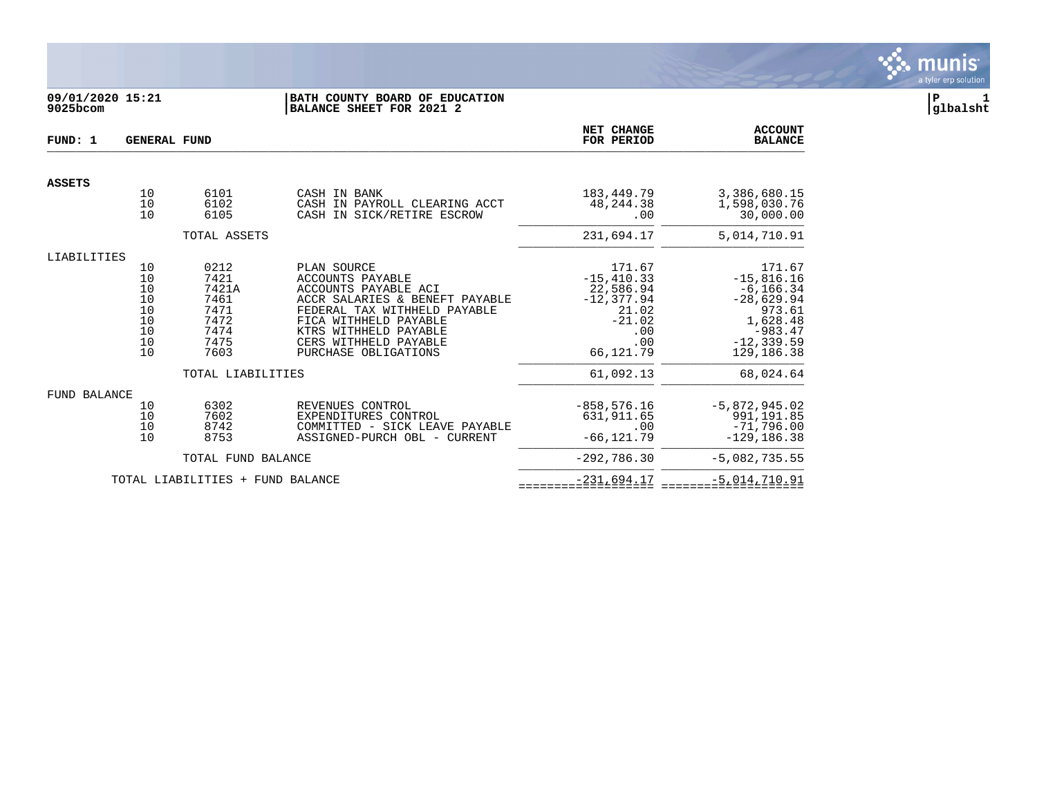

# **09/01/2020 15:21 |BATH COUNTY BOARD OF EDUCATION |P 1 9025bcom |BALANCE SHEET FOR 2021 2 |glbalsht**

| FUND: 1             | <b>GENERAL FUND</b>                                |                                                                                            |                                                                                                                                                                                                                              | NET CHANGE<br>FOR PERIOD                                                                                          | <b>ACCOUNT</b><br><b>BALANCE</b>                                                                                                      |
|---------------------|----------------------------------------------------|--------------------------------------------------------------------------------------------|------------------------------------------------------------------------------------------------------------------------------------------------------------------------------------------------------------------------------|-------------------------------------------------------------------------------------------------------------------|---------------------------------------------------------------------------------------------------------------------------------------|
| <b>ASSETS</b>       |                                                    |                                                                                            |                                                                                                                                                                                                                              |                                                                                                                   |                                                                                                                                       |
|                     | 10<br>10<br>10                                     | 6101<br>6102<br>6105                                                                       | CASH IN BANK<br>CASH IN PAYROLL CLEARING ACCT<br>CASH IN SICK/RETIRE ESCROW                                                                                                                                                  | 183,449.79<br>48, 244. 38<br>.00                                                                                  | 3,386,680.15<br>1,598,030.76<br>30,000.00                                                                                             |
|                     |                                                    | TOTAL ASSETS                                                                               |                                                                                                                                                                                                                              | 231,694.17                                                                                                        | 5,014,710.91                                                                                                                          |
| LIABILITIES         |                                                    |                                                                                            |                                                                                                                                                                                                                              |                                                                                                                   |                                                                                                                                       |
|                     | 10<br>10<br>10<br>10<br>10<br>10<br>10<br>10<br>10 | 0212<br>7421<br>7421A<br>7461<br>7471<br>7472<br>7474<br>7475<br>7603<br>TOTAL LIABILITIES | PLAN SOURCE<br>ACCOUNTS PAYABLE<br>ACCOUNTS PAYABLE ACI<br>ACCR SALARIES & BENEFT PAYABLE<br>FEDERAL TAX WITHHELD PAYABLE<br>FICA WITHHELD PAYABLE<br>KTRS WITHHELD PAYABLE<br>CERS WITHHELD PAYABLE<br>PURCHASE OBLIGATIONS | 171.67<br>$-15, 410.33$<br>22,586.94<br>$-12,377.94$<br>21.02<br>$-21.02$<br>.00<br>.00<br>66,121.79<br>61,092.13 | 171.67<br>$-15,816.16$<br>$-6, 166.34$<br>$-28,629.94$<br>973.61<br>1,628.48<br>$-983.47$<br>$-12, 339.59$<br>129,186.38<br>68,024.64 |
|                     |                                                    |                                                                                            |                                                                                                                                                                                                                              |                                                                                                                   |                                                                                                                                       |
| <b>FUND BALANCE</b> | 10<br>10<br>10<br>10                               | 6302<br>7602<br>8742<br>8753                                                               | REVENUES CONTROL<br>EXPENDITURES CONTROL<br>COMMITTED - SICK LEAVE PAYABLE<br>ASSIGNED-PURCH OBL - CURRENT                                                                                                                   | $-858, 576.16$<br>631,911.65<br>.00<br>$-66, 121.79$                                                              | $-5,872,945.02$<br>991,191.85<br>$-71,796.00$<br>$-129, 186.38$                                                                       |
|                     |                                                    | TOTAL FUND BALANCE                                                                         |                                                                                                                                                                                                                              | $-292,786.30$                                                                                                     | $-5,082,735.55$                                                                                                                       |
|                     |                                                    | TOTAL LIABILITIES + FUND BALANCE                                                           |                                                                                                                                                                                                                              | $-231,694.17$                                                                                                     | $-5,014,710.91$                                                                                                                       |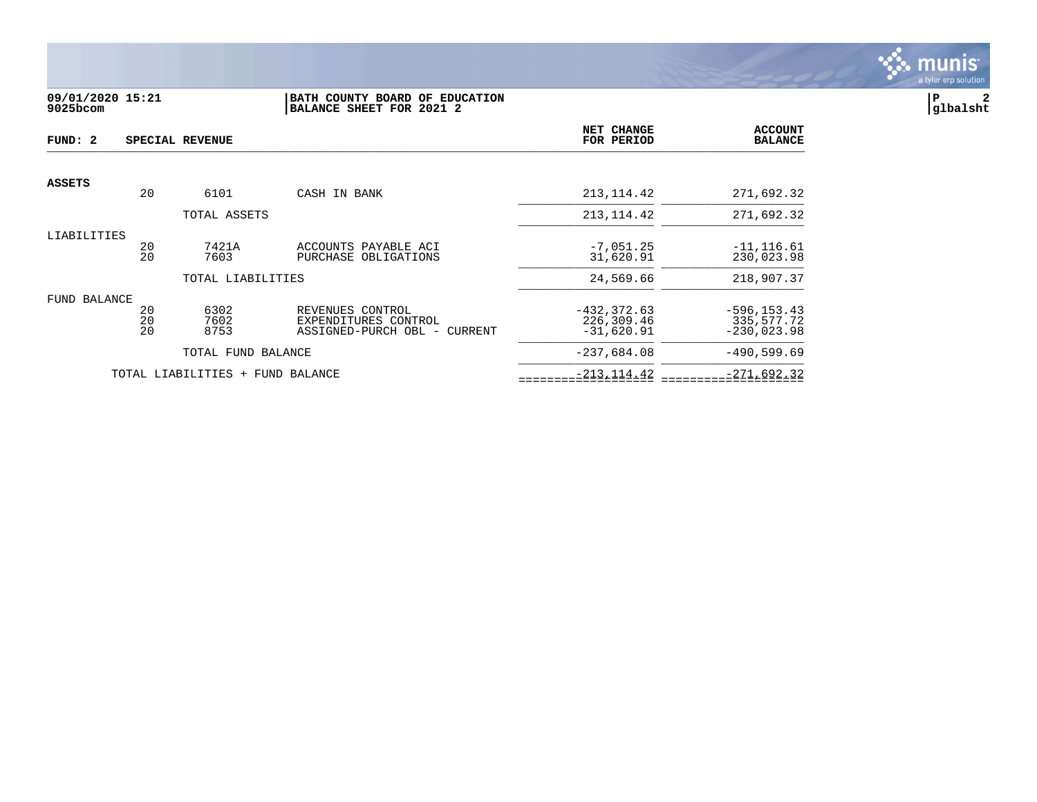

### **09/01/2020 15:21 |BATH COUNTY BOARD OF EDUCATION |P 2 9025bcom |BALANCE SHEET FOR 2021 2 |glbalsht**

| FUND: 2       |                | SPECIAL REVENUE                  |                                                                          | NET CHANGE<br>FOR PERIOD                     | <b>ACCOUNT</b><br><b>BALANCE</b>              |
|---------------|----------------|----------------------------------|--------------------------------------------------------------------------|----------------------------------------------|-----------------------------------------------|
| <b>ASSETS</b> |                |                                  |                                                                          |                                              |                                               |
|               | 20             | 6101                             | CASH IN BANK                                                             | 213, 114.42                                  | 271,692.32                                    |
|               |                | TOTAL ASSETS                     |                                                                          | 213, 114.42                                  | 271,692.32                                    |
| LIABILITIES   | 20<br>20       | 7421A<br>7603                    | ACCOUNTS PAYABLE ACI<br>PURCHASE OBLIGATIONS                             | $-7,051.25$<br>31,620.91                     | $-11, 116.61$<br>230,023.98                   |
|               |                | TOTAL LIABILITIES                |                                                                          | 24,569.66                                    | 218,907.37                                    |
| FUND BALANCE  | 20<br>20<br>20 | 6302<br>7602<br>8753             | REVENUES CONTROL<br>EXPENDITURES CONTROL<br>ASSIGNED-PURCH OBL - CURRENT | $-432, 372.63$<br>226,309.46<br>$-31,620.91$ | $-596, 153.43$<br>335,577.72<br>$-230,023.98$ |
|               |                | TOTAL FUND BALANCE               |                                                                          | $-237,684.08$                                | $-490,599.69$                                 |
|               |                | TOTAL LIABILITIES + FUND BALANCE |                                                                          | $-213, 114.42$                               | $-271,692.32$                                 |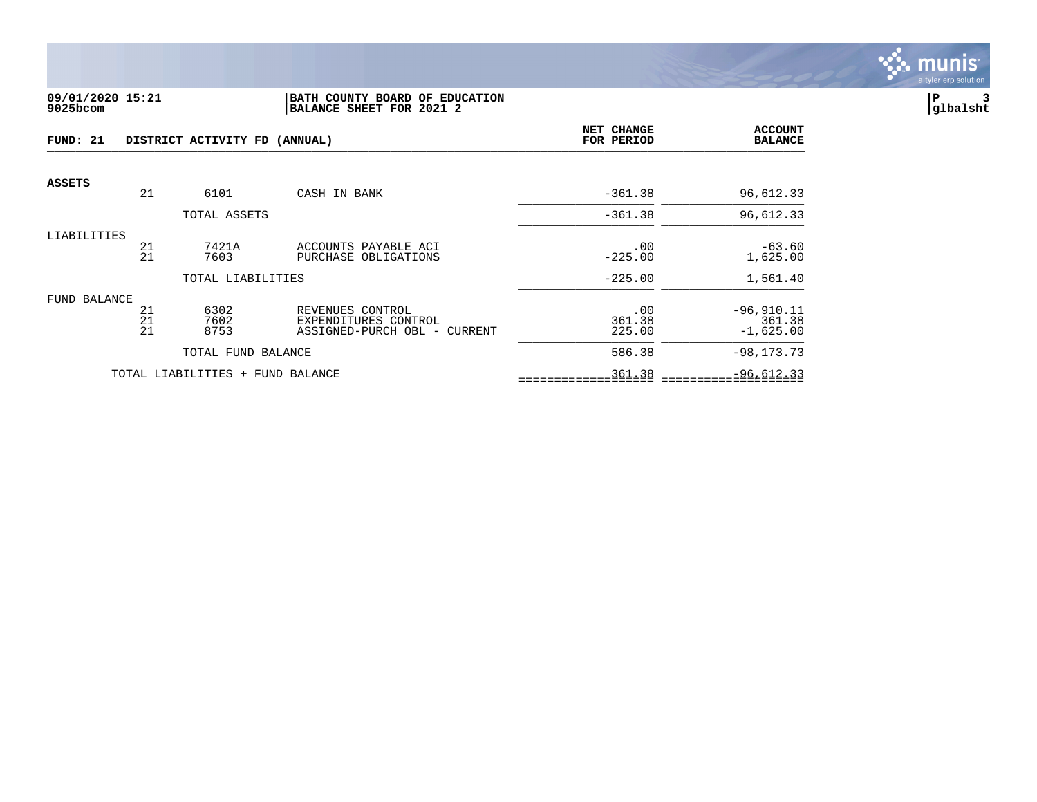

### **09/01/2020 15:21 |BATH COUNTY BOARD OF EDUCATION |P 3 9025bcom |BALANCE SHEET FOR 2021 2 |glbalsht**

| FUND: 21     |          | DISTRICT ACTIVITY FD (ANNUAL) | <b>NET CHANGE</b><br>FOR PERIOD                      | <b>ACCOUNT</b><br><b>BALANCE</b> |                       |
|--------------|----------|-------------------------------|------------------------------------------------------|----------------------------------|-----------------------|
| ASSETS       |          |                               |                                                      |                                  |                       |
|              | 21       | 6101                          | CASH IN BANK                                         | $-361.38$                        | 96,612.33             |
|              |          | TOTAL ASSETS                  |                                                      | $-361.38$                        | 96,612.33             |
| LIABILITIES  |          |                               |                                                      |                                  |                       |
|              | 21<br>21 | 7421A                         | ACCOUNTS PAYABLE ACI                                 | .00                              | $-63.60$              |
|              |          | 7603                          | PURCHASE OBLIGATIONS                                 | $-225.00$                        | 1,625.00              |
|              |          | TOTAL LIABILITIES             |                                                      | $-225.00$                        | 1,561.40              |
| FUND BALANCE |          |                               |                                                      |                                  |                       |
|              | 21       | 6302                          | REVENUES CONTROL                                     | .00                              | $-96, 910.11$         |
|              | 21<br>21 | 7602<br>8753                  | EXPENDITURES CONTROL<br>ASSIGNED-PURCH OBL - CURRENT | 361.38<br>225.00                 | 361.38<br>$-1,625.00$ |
|              |          |                               |                                                      |                                  |                       |
|              |          | TOTAL FUND BALANCE            |                                                      | 586.38                           | $-98, 173.73$         |
|              |          | TOTAL LIABILITIES +           | FUND BALANCE                                         | 361.38                           | $-96,612.33$          |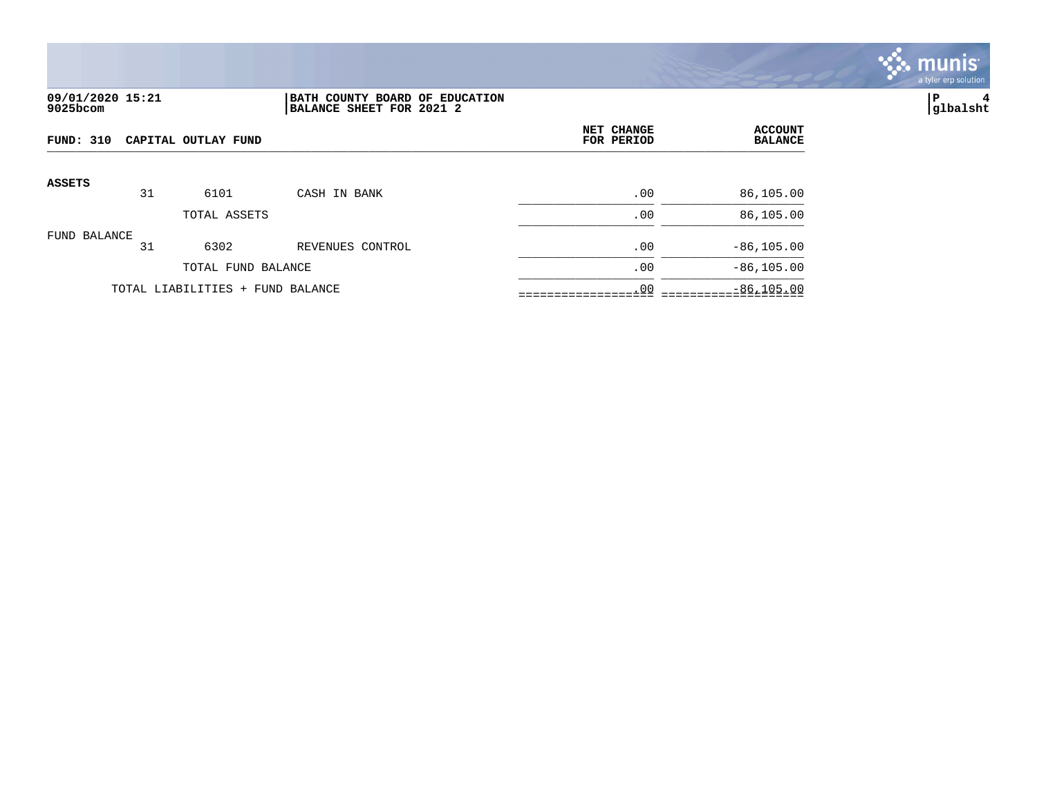

## **09/01/2020 15:21 |BATH COUNTY BOARD OF EDUCATION |P 4 9025bcom |BALANCE SHEET FOR 2021 2 |glbalsht**

| FUND: 310     | NET CHANGE<br>CAPITAL OUTLAY FUND<br>FOR PERIOD |                                  |                  | <b>ACCOUNT</b><br><b>BALANCE</b> |               |
|---------------|-------------------------------------------------|----------------------------------|------------------|----------------------------------|---------------|
| <b>ASSETS</b> | 31                                              | 6101                             | CASH IN BANK     | .00                              | 86,105.00     |
|               |                                                 | TOTAL ASSETS                     |                  | .00                              | 86,105.00     |
| FUND BALANCE  | 31                                              | 6302                             | REVENUES CONTROL | .00                              | $-86, 105.00$ |
|               |                                                 | TOTAL FUND BALANCE               |                  | .00                              | $-86, 105.00$ |
|               |                                                 | TOTAL LIABILITIES + FUND BALANCE |                  | .00                              | $-86, 105.00$ |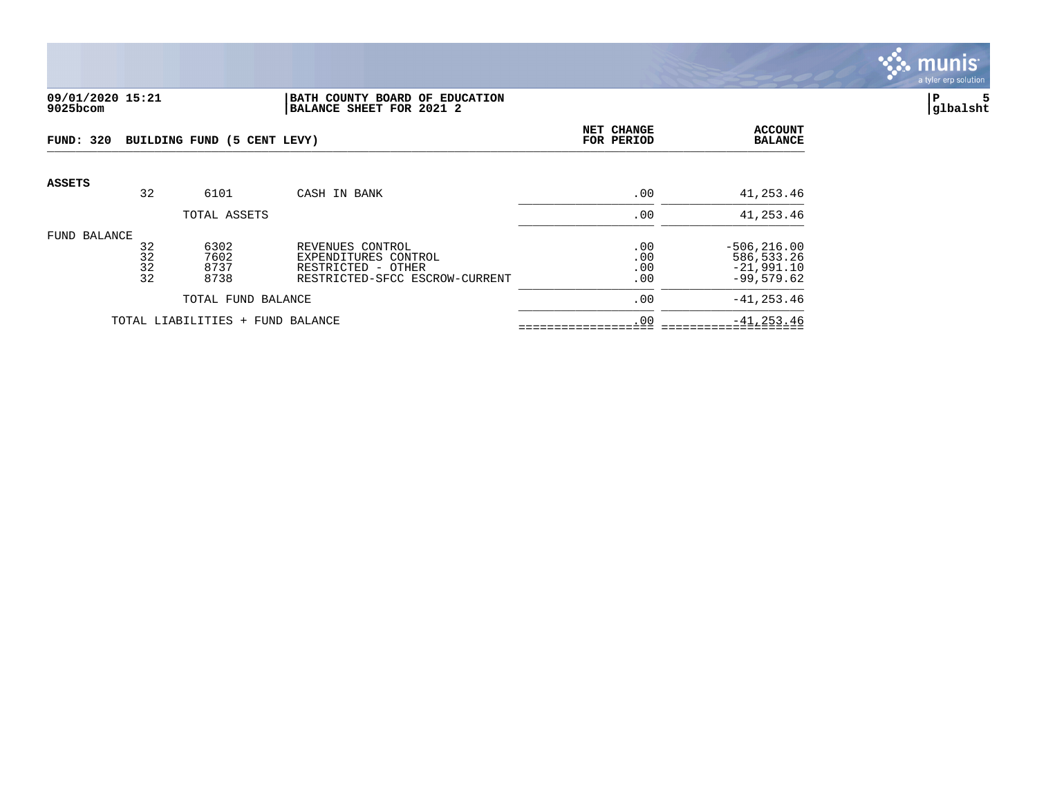

### **09/01/2020 15:21 |BATH COUNTY BOARD OF EDUCATION |P 5 9025bcom |BALANCE SHEET FOR 2021 2 |glbalsht**

| FUND: 320     |                      | BUILDING FUND (5 CENT LEVY)  |                                                                                                  | NET CHANGE<br>FOR PERIOD | <b>ACCOUNT</b><br><b>BALANCE</b>                              |
|---------------|----------------------|------------------------------|--------------------------------------------------------------------------------------------------|--------------------------|---------------------------------------------------------------|
| <b>ASSETS</b> | 32                   | 6101                         | CASH IN BANK                                                                                     | .00                      | 41,253.46                                                     |
|               |                      | TOTAL ASSETS                 |                                                                                                  | .00                      | 41,253.46                                                     |
| FUND BALANCE  | 32<br>32<br>32<br>32 | 6302<br>7602<br>8737<br>8738 | REVENUES CONTROL<br>EXPENDITURES CONTROL<br>RESTRICTED - OTHER<br>RESTRICTED-SFCC ESCROW-CURRENT | .00<br>.00<br>.00<br>.00 | $-506, 216.00$<br>586, 533.26<br>$-21,991.10$<br>$-99,579.62$ |
|               |                      | TOTAL FUND BALANCE           |                                                                                                  | .00                      | $-41, 253.46$                                                 |
|               |                      | TOTAL LIABILITIES +          | FUND BALANCE                                                                                     | .00                      | $-41, 253.46$                                                 |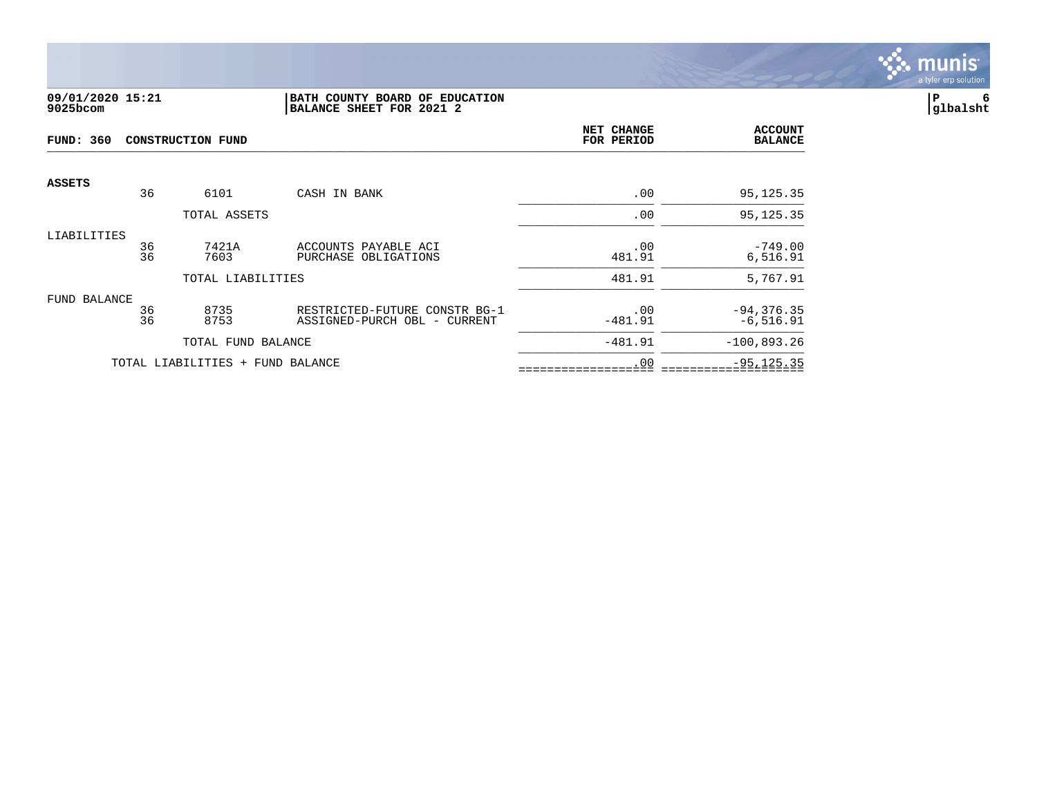

### **09/01/2020 15:21 |BATH COUNTY BOARD OF EDUCATION |P 6 9025bcom |BALANCE SHEET FOR 2021 2 |glbalsht**

| <b>FUND: 360</b> | <b>CONSTRUCTION FUND</b> |                                  |                                                               |                  | <b>ACCOUNT</b><br><b>BALANCE</b> |
|------------------|--------------------------|----------------------------------|---------------------------------------------------------------|------------------|----------------------------------|
| <b>ASSETS</b>    | 36                       | 6101                             | CASH IN BANK                                                  | .00              | 95,125.35                        |
|                  |                          | TOTAL ASSETS                     |                                                               | .00              | 95, 125. 35                      |
| LIABILITIES      | 36<br>36                 | 7421A<br>7603                    | ACCOUNTS PAYABLE ACI<br>PURCHASE OBLIGATIONS                  | .00<br>481.91    | $-749.00$<br>6,516.91            |
|                  |                          | TOTAL LIABILITIES                |                                                               | 481.91           | 5,767.91                         |
| FUND BALANCE     | 36<br>36                 | 8735<br>8753                     | RESTRICTED-FUTURE CONSTR BG-1<br>ASSIGNED-PURCH OBL - CURRENT | .00<br>$-481.91$ | $-94, 376.35$<br>$-6,516.91$     |
|                  |                          | TOTAL FUND BALANCE               |                                                               | $-481.91$        | $-100,893.26$                    |
|                  |                          | TOTAL LIABILITIES + FUND BALANCE |                                                               | .00              | $-95, 125.35$                    |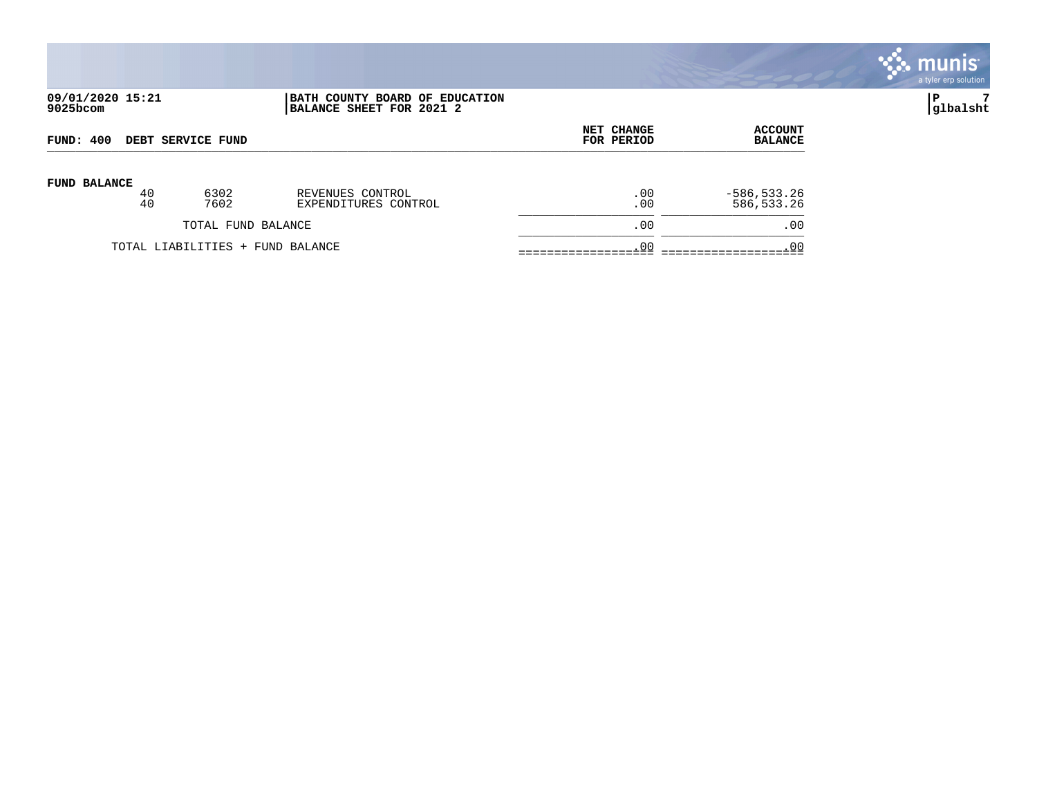|                              |          |                    |                                                            |                          |                                  | $\sqrt{m}$ unis<br>a tyler erp solution |
|------------------------------|----------|--------------------|------------------------------------------------------------|--------------------------|----------------------------------|-----------------------------------------|
| 09/01/2020 15:21<br>9025bcom |          |                    | BATH COUNTY BOARD OF EDUCATION<br>BALANCE SHEET FOR 2021 2 |                          |                                  | 7<br>P<br> glbalsht                     |
| FUND: 400                    |          | DEBT SERVICE FUND  |                                                            | NET CHANGE<br>FOR PERIOD | <b>ACCOUNT</b><br><b>BALANCE</b> |                                         |
| FUND BALANCE                 | 40<br>40 | 6302<br>7602       | REVENUES CONTROL<br>EXPENDITURES CONTROL                   | .00<br>.00               | $-586, 533.26$<br>586,533.26     |                                         |
|                              |          | TOTAL FUND BALANCE |                                                            | .00                      | .00                              |                                         |

TOTAL LIABILITIES + FUND BALANCE .00 .00 =================== ====================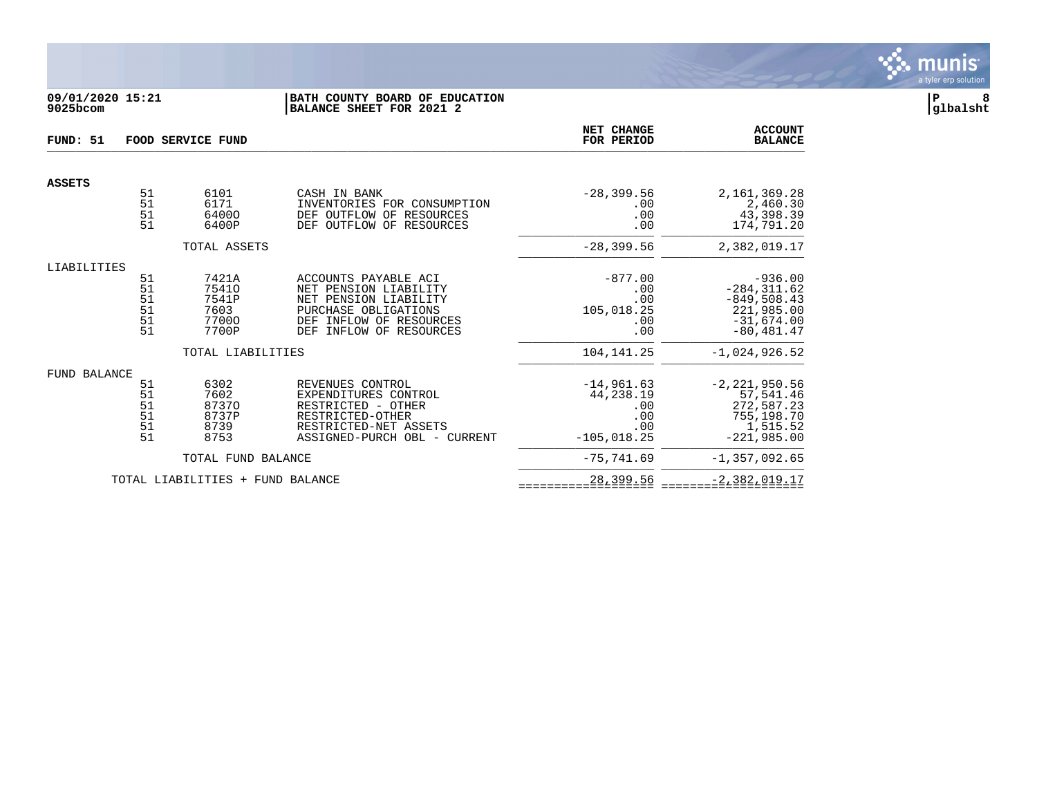

## **09/01/2020 15:21 |BATH COUNTY BOARD OF EDUCATION |P 8 9025bcom |BALANCE SHEET FOR 2021 2 |glbalsht**

| FUND: 51      | FOOD SERVICE FUND    |                                  |                                                                                                     |                                    | <b>ACCOUNT</b><br><b>BALANCE</b>                    |
|---------------|----------------------|----------------------------------|-----------------------------------------------------------------------------------------------------|------------------------------------|-----------------------------------------------------|
| <b>ASSETS</b> |                      |                                  |                                                                                                     |                                    |                                                     |
|               | 51<br>51<br>51<br>51 | 6101<br>6171<br>64000<br>6400P   | CASH IN BANK<br>INVENTORIES FOR CONSUMPTION<br>DEF OUTFLOW OF RESOURCES<br>DEF OUTFLOW OF RESOURCES | $-28, 399.56$<br>.00<br>.00<br>.00 | 2,161,369.28<br>2,460.30<br>43,398.39<br>174,791.20 |
|               |                      | TOTAL ASSETS                     |                                                                                                     | $-28, 399.56$                      | 2,382,019.17                                        |
| LIABILITIES   | 51                   | 7421A                            | ACCOUNTS PAYABLE ACI                                                                                | $-877.00$                          | $-936.00$                                           |
|               | 51<br>51             | 75410<br>7541P                   | NET PENSION LIABILITY<br>NET PENSION LIABILITY                                                      | .00<br>.00                         | $-284, 311.62$<br>$-849, 508.43$                    |
|               | $\overline{51}$      | 7603                             | PURCHASE OBLIGATIONS                                                                                | 105,018.25                         | 221,985.00                                          |
|               | 51                   | 77000                            | DEF<br>INFLOW OF RESOURCES                                                                          | .00                                | $-31,674.00$                                        |
|               | 51                   | 7700P                            | DEF<br>INFLOW OF RESOURCES                                                                          | .00                                | $-80, 481.47$                                       |
|               |                      | TOTAL LIABILITIES                |                                                                                                     | 104,141.25                         | $-1,024,926.52$                                     |
| FUND BALANCE  |                      |                                  |                                                                                                     |                                    |                                                     |
|               | 51                   | 6302                             | REVENUES CONTROL                                                                                    | $-14,961.63$                       | $-2, 221, 950.56$                                   |
|               | 51                   | 7602<br>87370                    | EXPENDITURES CONTROL<br>RESTRICTED - OTHER                                                          | 44,238.19<br>.00                   | 57,541.46<br>272,587.23                             |
|               | $\frac{51}{51}$      | 8737P                            | RESTRICTED-OTHER                                                                                    | .00                                | 755,198.70                                          |
|               | 51                   | 8739                             | RESTRICTED-NET ASSETS                                                                               | .00                                | 1,515.52                                            |
|               | 51                   | 8753                             | ASSIGNED-PURCH OBL - CURRENT                                                                        | $-105,018.25$                      | $-221.985.00$                                       |
|               |                      | TOTAL FUND BALANCE               |                                                                                                     | $-75, 741, 69$                     | $-1, 357, 092.65$                                   |
|               |                      | TOTAL LIABILITIES + FUND BALANCE |                                                                                                     | 28,399.56                          | $-2,382,019.17$                                     |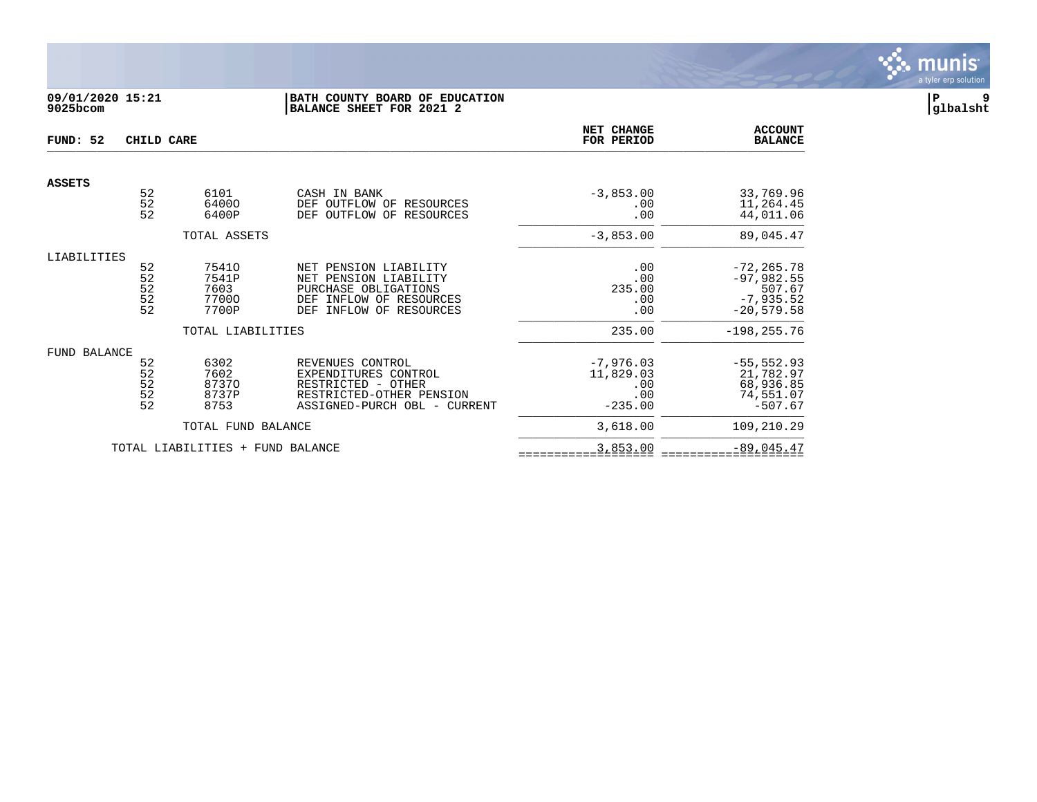

# **09/01/2020 15:21 |BATH COUNTY BOARD OF EDUCATION |P 9 9025bcom |BALANCE SHEET FOR 2021 2 |glbalsht**

| FUND: 52      | CHILD CARE                      |                                          |                                                                                                                                 | NET CHANGE<br>FOR PERIOD                            | <b>ACCOUNT</b><br><b>BALANCE</b>                                       |
|---------------|---------------------------------|------------------------------------------|---------------------------------------------------------------------------------------------------------------------------------|-----------------------------------------------------|------------------------------------------------------------------------|
|               |                                 |                                          |                                                                                                                                 |                                                     |                                                                        |
| <b>ASSETS</b> | 52<br>52<br>52                  | 6101<br>64000<br>6400P                   | CASH IN BANK<br>DEF<br>OUTFLOW OF<br>RESOURCES<br>OUTFLOW OF RESOURCES<br>DEF                                                   | $-3,853.00$<br>.00<br>.00                           | 33,769.96<br>11,264.45<br>44,011.06                                    |
|               |                                 | TOTAL ASSETS                             |                                                                                                                                 | $-3,853.00$                                         | 89,045.47                                                              |
| LIABILITIES   | 52<br>52<br>52<br>$\frac{5}{2}$ | 75410<br>7541P<br>7603<br>77000<br>7700P | NET PENSION LIABILITY<br>NET PENSION LIABILITY<br>PURCHASE OBLIGATIONS<br>DEF INFLOW OF RESOURCES<br>INFLOW OF RESOURCES<br>DEF | .00<br>.00<br>235.00<br>.00<br>.00                  | $-72, 265.78$<br>$-97,982.55$<br>507.67<br>$-7,935.52$<br>$-20,579.58$ |
|               |                                 | TOTAL LIABILITIES                        |                                                                                                                                 | 235.00                                              | $-198, 255.76$                                                         |
| FUND BALANCE  | 52<br>52<br>$\frac{5}{2}$<br>52 | 6302<br>7602<br>87370<br>8737P<br>8753   | REVENUES CONTROL<br>EXPENDITURES CONTROL<br>RESTRICTED - OTHER<br>RESTRICTED-OTHER PENSION<br>ASSIGNED-PURCH OBL - CURRENT      | $-7,976.03$<br>11,829.03<br>.00<br>.00<br>$-235.00$ | $-55, 552.93$<br>21,782.97<br>68,936.85<br>74,551.07<br>$-507.67$      |
|               |                                 | TOTAL FUND BALANCE                       |                                                                                                                                 | 3,618.00                                            | 109,210.29                                                             |
|               |                                 | TOTAL LIABILITIES +                      | FUND BALANCE                                                                                                                    | 3,853.00                                            | $-89,045.47$                                                           |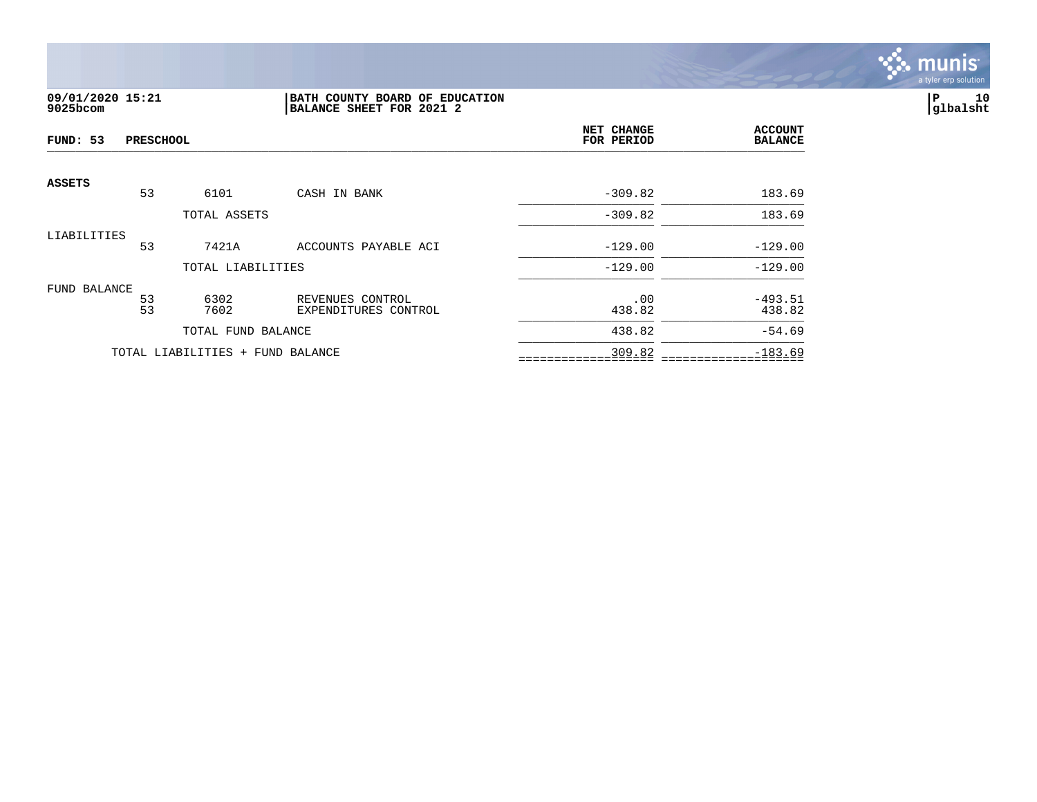

# **09/01/2020 15:21 |BATH COUNTY BOARD OF EDUCATION |P 10 9025bcom |BALANCE SHEET FOR 2021 2 |glbalsht**

| FUND: 53      | <b>PRESCHOOL</b> |                                  |                                          | NET CHANGE<br>FOR PERIOD | <b>ACCOUNT</b><br><b>BALANCE</b> |
|---------------|------------------|----------------------------------|------------------------------------------|--------------------------|----------------------------------|
| <b>ASSETS</b> |                  |                                  |                                          |                          |                                  |
|               | 53               | 6101                             | CASH IN BANK                             | $-309.82$                | 183.69                           |
|               |                  | TOTAL ASSETS                     |                                          | $-309.82$                | 183.69                           |
| LIABILITIES   |                  |                                  |                                          |                          |                                  |
|               | 53               | 7421A                            | ACCOUNTS PAYABLE ACI                     | $-129.00$                | $-129.00$                        |
|               |                  | TOTAL LIABILITIES                |                                          | $-129.00$                | $-129.00$                        |
| FUND BALANCE  |                  |                                  |                                          |                          |                                  |
|               | 53<br>53         | 6302<br>7602                     | REVENUES CONTROL<br>EXPENDITURES CONTROL | .00<br>438.82            | $-493.51$<br>438.82              |
|               |                  | TOTAL FUND BALANCE               |                                          | 438.82                   | $-54.69$                         |
|               |                  | TOTAL LIABILITIES + FUND BALANCE |                                          | 309.82                   | $-183.69$                        |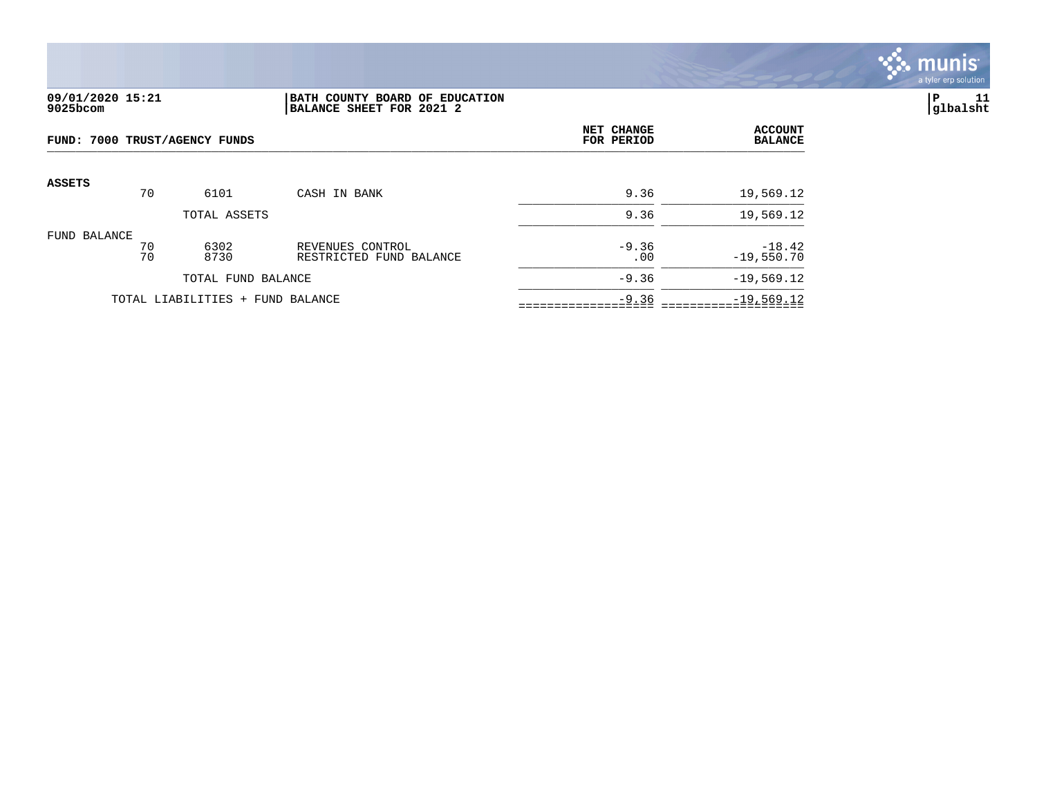

## **09/01/2020 15:21 |BATH COUNTY BOARD OF EDUCATION |P 11 9025bcom |BALANCE SHEET FOR 2021 2 |glbalsht**

| FUND: 7000 TRUST/AGENCY FUNDS |          |                                  | NET CHANGE<br>FOR PERIOD                    | <b>ACCOUNT</b><br><b>BALANCE</b> |                          |
|-------------------------------|----------|----------------------------------|---------------------------------------------|----------------------------------|--------------------------|
| <b>ASSETS</b>                 | 70       | 6101                             | CASH IN BANK                                | 9.36                             | 19,569.12                |
|                               |          | TOTAL ASSETS                     |                                             | 9.36                             | 19,569.12                |
| FUND BALANCE                  | 70<br>70 | 6302<br>8730                     | REVENUES CONTROL<br>RESTRICTED FUND BALANCE | $-9.36$<br>.00                   | $-18.42$<br>$-19,550.70$ |
|                               |          | TOTAL FUND BALANCE               |                                             | $-9.36$                          | $-19,569.12$             |
|                               |          | TOTAL LIABILITIES + FUND BALANCE |                                             | $-9.36$                          | $-19,569.12$             |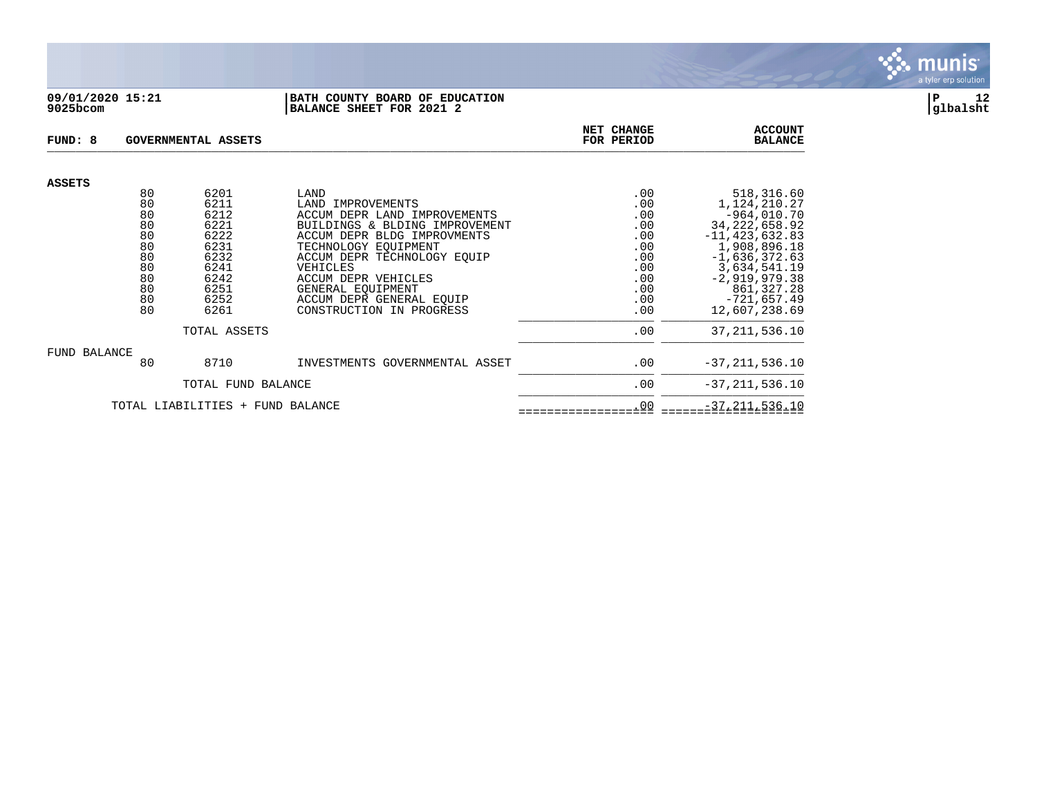

#### **09/01/2020 15:21 |BATH COUNTY BOARD OF EDUCATION |P 12 9025bcom |BALANCE SHEET FOR 2021 2 |glbalsht**

| FUND: 8       |          | <b>GOVERNMENTAL ASSETS</b> | NET CHANGE<br>FOR PERIOD                      | <b>ACCOUNT</b><br><b>BALANCE</b> |                             |
|---------------|----------|----------------------------|-----------------------------------------------|----------------------------------|-----------------------------|
| <b>ASSETS</b> |          |                            |                                               |                                  |                             |
|               | 80       | 6201                       | LAND                                          | .00                              | 518,316.60                  |
|               | 80       | 6211                       | LAND IMPROVEMENTS                             | .00                              | 1,124,210.27                |
|               | 80       | 6212                       | ACCUM DEPR LAND IMPROVEMENTS                  | .00                              | $-964,010.70$               |
|               | 80       | 6221                       | BUILDINGS & BLDING IMPROVEMENT                | .00                              | 34, 222, 658. 92            |
|               | 80       | 6222                       | ACCUM DEPR BLDG IMPROVMENTS                   | .00                              | $-11, 423, 632.83$          |
|               | 80       | 6231                       | TECHNOLOGY EOUIPMENT                          | .00                              | 1,908,896.18                |
|               | 80       | 6232                       | ACCUM DEPR TECHNOLOGY EOUIP                   | .00                              | $-1,636,372.63$             |
|               | 80       | 6241                       | VEHICLES                                      | .00                              | 3,634,541.19                |
|               | 80<br>80 | 6242<br>6251               | ACCUM DEPR VEHICLES                           | .00<br>.00                       | $-2,919,979.38$             |
|               | 80       | 6252                       | GENERAL EQUIPMENT<br>ACCUM DEPR GENERAL EOUIP | .00                              | 861,327.28<br>$-721,657.49$ |
|               | 80       | 6261                       | CONSTRUCTION IN PROGRESS                      | .00                              | 12,607,238.69               |
|               |          |                            |                                               |                                  |                             |
|               |          | TOTAL ASSETS               |                                               | .00                              | 37, 211, 536.10             |
| FUND BALANCE  |          |                            |                                               |                                  |                             |
|               | 80       | 8710                       | INVESTMENTS GOVERNMENTAL ASSET                | .00                              | $-37, 211, 536.10$          |
|               |          | TOTAL FUND BALANCE         |                                               | .00                              | $-37, 211, 536.10$          |
|               |          | TOTAL LIABILITIES<br>$+$   | FUND BALANCE                                  | .00                              | $-37, 211, 536.10$          |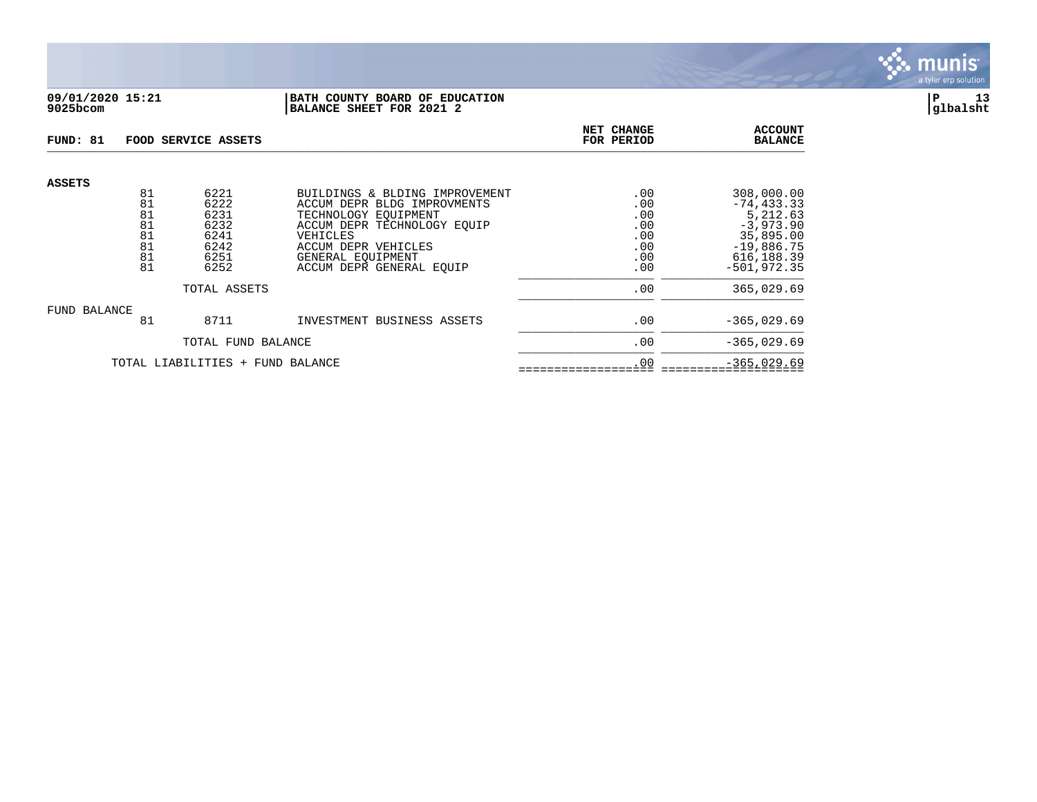

## **09/01/2020 15:21 |BATH COUNTY BOARD OF EDUCATION |P 13 9025bcom |BALANCE SHEET FOR 2021 2 |glbalsht**

| FUND: 81      |                                        | FOOD SERVICE ASSETS                                  |                                                                                                                                                                              | NET CHANGE<br>FOR PERIOD                      | <b>ACCOUNT</b><br><b>BALANCE</b>                                                                   |
|---------------|----------------------------------------|------------------------------------------------------|------------------------------------------------------------------------------------------------------------------------------------------------------------------------------|-----------------------------------------------|----------------------------------------------------------------------------------------------------|
| <b>ASSETS</b> | 81<br>81<br>81<br>81<br>81<br>81<br>81 | 6221<br>6222<br>6231<br>6232<br>6241<br>6242<br>6251 | BUILDINGS & BLDING IMPROVEMENT<br>ACCUM DEPR BLDG IMPROVMENTS<br>TECHNOLOGY EOUIPMENT<br>ACCUM DEPR TECHNOLOGY EOUIP<br>VEHICLES<br>ACCUM DEPR VEHICLES<br>GENERAL EOUIPMENT | .00<br>.00<br>.00<br>.00<br>.00<br>.00<br>.00 | 308,000.00<br>$-74, 433.33$<br>5,212.63<br>$-3,973.90$<br>35,895.00<br>$-19,886.75$<br>616, 188.39 |
|               | 81                                     | 6252                                                 | ACCUM DEPR GENERAL EOUIP                                                                                                                                                     | .00                                           | $-501.972.35$                                                                                      |
|               |                                        | TOTAL ASSETS                                         | .00                                                                                                                                                                          | 365,029.69                                    |                                                                                                    |
| FUND BALANCE  | 81                                     | 8711                                                 | INVESTMENT BUSINESS ASSETS                                                                                                                                                   | .00                                           | $-365,029.69$                                                                                      |
|               |                                        | TOTAL FUND BALANCE                                   | .00                                                                                                                                                                          | $-365,029.69$                                 |                                                                                                    |
|               |                                        | TOTAL LIABILITIES + FUND BALANCE                     | .00                                                                                                                                                                          | $-365,029.69$                                 |                                                                                                    |